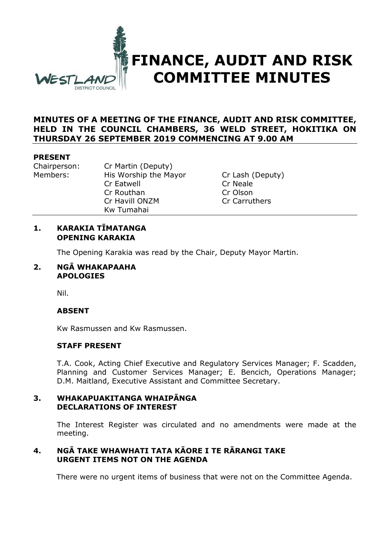

## **MINUTES OF A MEETING OF THE FINANCE, AUDIT AND RISK COMMITTEE, HELD IN THE COUNCIL CHAMBERS, 36 WELD STREET, HOKITIKA ON THURSDAY 26 SEPTEMBER 2019 COMMENCING AT 9.00 AM**

### **PRESENT**

Chairperson: Cr Martin (Deputy) Members: His Worship the Mayor Cr Lash (Deputy) Cr Eatwell Cr Neale Cr Routhan Cr Olson Cr Havill ONZM Cr Carruthers

Kw Tumahai

## **1. KARAKIA TĪMATANGA OPENING KARAKIA**

The Opening Karakia was read by the Chair, Deputy Mayor Martin.

#### **2. NGĀ WHAKAPAAHA APOLOGIES**

Nil.

## **ABSENT**

Kw Rasmussen and Kw Rasmussen.

#### **STAFF PRESENT**

T.A. Cook, Acting Chief Executive and Regulatory Services Manager; F. Scadden, Planning and Customer Services Manager; E. Bencich, Operations Manager; D.M. Maitland, Executive Assistant and Committee Secretary.

### **3. WHAKAPUAKITANGA WHAIPĀNGA DECLARATIONS OF INTEREST**

The Interest Register was circulated and no amendments were made at the meeting.

## **4. NGĀ TAKE WHAWHATI TATA KĀORE I TE RĀRANGI TAKE URGENT ITEMS NOT ON THE AGENDA**

There were no urgent items of business that were not on the Committee Agenda.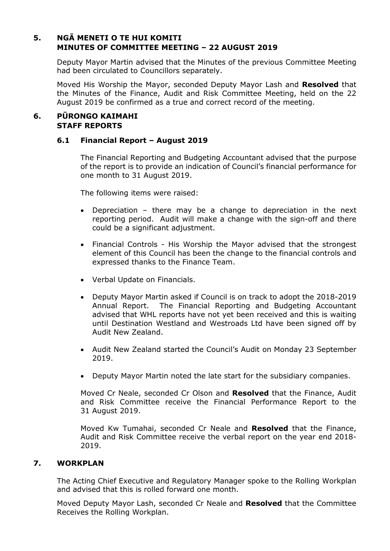# **5. NGĀ MENETI O TE HUI KOMITI MINUTES OF COMMITTEE MEETING – 22 AUGUST 2019**

Deputy Mayor Martin advised that the Minutes of the previous Committee Meeting had been circulated to Councillors separately.

Moved His Worship the Mayor, seconded Deputy Mayor Lash and **Resolved** that the Minutes of the Finance, Audit and Risk Committee Meeting, held on the 22 August 2019 be confirmed as a true and correct record of the meeting.

## **6. PŪRONGO KAIMAHI STAFF REPORTS**

## **6.1 Financial Report – August 2019**

The Financial Reporting and Budgeting Accountant advised that the purpose of the report is to provide an indication of Council's financial performance for one month to 31 August 2019.

The following items were raised:

- Depreciation there may be a change to depreciation in the next reporting period. Audit will make a change with the sign-off and there could be a significant adjustment.
- Financial Controls His Worship the Mayor advised that the strongest element of this Council has been the change to the financial controls and expressed thanks to the Finance Team.
- Verbal Update on Financials.
- Deputy Mayor Martin asked if Council is on track to adopt the 2018-2019 Annual Report. The Financial Reporting and Budgeting Accountant advised that WHL reports have not yet been received and this is waiting until Destination Westland and Westroads Ltd have been signed off by Audit New Zealand.
- Audit New Zealand started the Council's Audit on Monday 23 September 2019.
- Deputy Mayor Martin noted the late start for the subsidiary companies.

Moved Cr Neale, seconded Cr Olson and **Resolved** that the Finance, Audit and Risk Committee receive the Financial Performance Report to the 31 August 2019.

Moved Kw Tumahai, seconded Cr Neale and **Resolved** that the Finance, Audit and Risk Committee receive the verbal report on the year end 2018- 2019.

#### **7. WORKPLAN**

The Acting Chief Executive and Regulatory Manager spoke to the Rolling Workplan and advised that this is rolled forward one month.

Moved Deputy Mayor Lash, seconded Cr Neale and **Resolved** that the Committee Receives the Rolling Workplan.